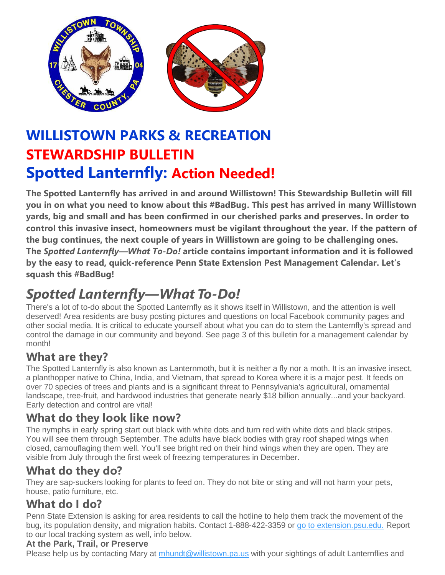

# **WILLISTOWN PARKS & RECREATION STEWARDSHIP BULLETIN Spotted Lanternfly: Action Needed!**

**The Spotted Lanternfly has arrived in and around Willistown! This Stewardship Bulletin will fill you in on what you need to know about this #BadBug. This pest has arrived in many Willistown yards, big and small and has been confirmed in our cherished parks and preserves. In order to control this invasive insect, homeowners must be vigilant throughout the year. If the pattern of the bug continues, the next couple of years in Willistown are going to be challenging ones. The** *Spotted Lanternfly—What To-Do!* **article contains important information and it is followed by the easy to read, quick-reference Penn State Extension Pest Management Calendar. Let's squash this #BadBug!**

# *Spotted Lanternfly—What To-Do!*

There's a lot of to-do about the Spotted Lanternfly as it shows itself in Willistown, and the attention is well deserved! Area residents are busy posting pictures and questions on local Facebook community pages and other social media. It is critical to educate yourself about what you can do to stem the Lanternfly's spread and control the damage in our community and beyond. See page 3 of this bulletin for a management calendar by month!

## **What are they?**

The Spotted Lanternfly is also known as Lanternmoth, but it is neither a fly nor a moth. It is an invasive insect, a planthopper native to China, India, and Vietnam, that spread to Korea where it is a major pest. It feeds on over 70 species of trees and plants and is a significant threat to Pennsylvania's agricultural, ornamental landscape, tree-fruit, and hardwood industries that generate nearly \$18 billion annually...and your backyard. Early detection and control are vital!

## **What do they look like now?**

The nymphs in early spring start out black with white dots and turn red with white dots and black stripes. You will see them through September. The adults have black bodies with gray roof shaped wings when closed, camouflaging them well. You'll see bright red on their hind wings when they are open. They are visible from July through the first week of freezing temperatures in December.

## **What do they do?**

They are sap-suckers looking for plants to feed on. They do not bite or sting and will not harm your pets, house, patio furniture, etc.

## **What do I do?**

Penn State Extension is asking for area residents to call the hotline to help them track the movement of the bug, its population density, and migration habits. Contact 1-888-422-3359 or go to [extension.psu.edu.](https://extension.psu.edu/spotted-lanternfly-management-for-homeowners) Report to our local tracking system as well, info below.

#### **At the Park, Trail, or Preserve**

Please help us by contacting Mary at [mhundt@willistown.pa.us](mailto:mhundt@willistown.pa.us) with your sightings of adult Lanternflies and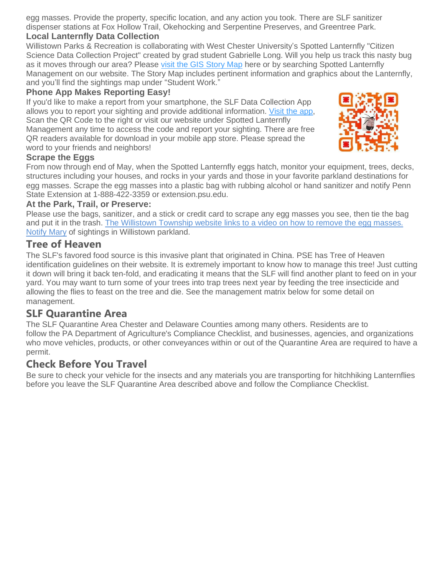egg masses. Provide the property, specific location, and any action you took. There are SLF sanitizer dispenser stations at Fox Hollow Trail, Okehocking and Serpentine Preserves, and Greentree Park.

#### **Local Lanternfly Data Collection**

Willistown Parks & Recreation is collaborating with West Chester University's Spotted Lanternfly "Citizen Science Data Collection Project" created by grad student Gabrielle Long. Will you help us track this nasty bug as it moves through our area? Please [visit the](https://wcupagis.maps.arcgis.com/apps/Cascade/index.html?appid=860e68f67bab402ca2f8d0ae22a1112a) GIS Story Map here or by searching Spotted Lanternfly Management on our website. The Story Map includes pertinent information and graphics about the Lanternfly, and you'll find the sightings map under "Student Work."

#### **Phone App Makes Reporting Easy!**

If you'd like to make a report from your smartphone, the SLF Data Collection App allows you to report your sighting and provide additional information. [Visit the](https://survey123.arcgis.com/share/d2b8c211c8d646b5b512d46201183299) app, Scan the QR Code to the right or visit our website under Spotted Lanternfly Management any time to access the code and report your sighting. There are free QR readers available for download in your mobile app store. Please spread the word to your friends and neighbors!



#### **Scrape the Eggs**

From now through end of May, when the Spotted Lanternfly eggs hatch, monitor your equipment, trees, decks, structures including your houses, and rocks in your yards and those in your favorite parkland destinations for egg masses. Scrape the egg masses into a plastic bag with rubbing alcohol or hand sanitizer and notify Penn State Extension at 1-888-422-3359 or extension.psu.edu.

#### **At the Park, Trail, or Preserve:**

Please use the bags, sanitizer, and a stick or credit card to scrape any egg masses you see, then tie the bag and put it in the trash. The [Willistown Township website links](https://www.youtube.com/watch?v=WoFp_MbDiE8&feature=youtu.be) to a video on how to remove the egg masses. [Notify Mary](mailto:mhundt@willistown.pa.us?subject=Spotted%20Lanternfly%20Sighting) of sightings in Willistown parkland.

#### **Tree of Heaven**

The SLF's favored food source is this invasive plant that originated in China. PSE has Tree of Heaven identification guidelines on their website. It is extremely important to know how to manage this tree! Just cutting it down will bring it back ten-fold, and eradicating it means that the SLF will find another plant to feed on in your yard. You may want to turn some of your trees into trap trees next year by feeding the tree insecticide and allowing the flies to feast on the tree and die. See the management matrix below for some detail on management.

#### **SLF Quarantine Area**

The SLF Quarantine Area Chester and Delaware Counties among many others. Residents are to follow the PA Department of Agriculture's Compliance Checklist, and businesses, agencies, and organizations who move vehicles, products, or other conveyances within or out of the Quarantine Area are required to have a permit.

#### **Check Before You Travel**

Be sure to check your vehicle for the insects and any materials you are transporting for hitchhiking Lanternflies before you leave the SLF Quarantine Area described above and follow the Compliance Checklist.